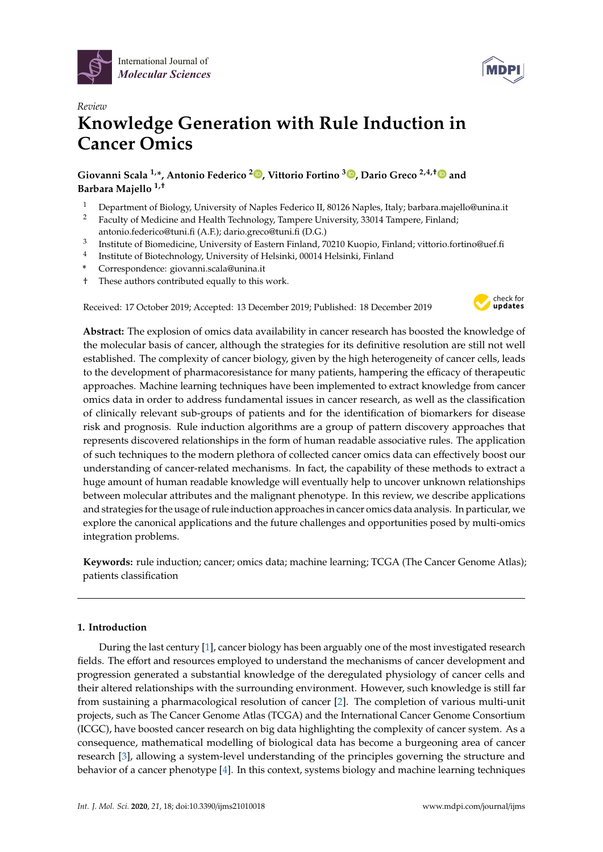



# *Review* **Knowledge Generation with Rule Induction in Cancer Omics**

**Giovanni Scala 1,\*, Antonio Federico <sup>2</sup> [,](https://orcid.org/0000-0003-2554-9879) Vittorio Fortino <sup>3</sup> [,](https://orcid.org/0000-0001-8693-5285) Dario Greco 2,4,**[†](https://orcid.org/0000-0001-9195-9003) **and Barbara Majello 1,**†

- <sup>1</sup> Department of Biology, University of Naples Federico II, 80126 Naples, Italy; barbara.majello@unina.it<br><sup>2</sup> Eaculty of Modicine and Health Technology, Tampere University, 33014 Tampere, Finland.
- <sup>2</sup> Faculty of Medicine and Health Technology, Tampere University, 33014 Tampere, Finland; antonio.federico@tuni.fi (A.F.); dario.greco@tuni.fi (D.G.)
- 3 Institute of Biomedicine, University of Eastern Finland, 70210 Kuopio, Finland; vittorio.fortino@uef.fi
- 4 Institute of Biotechnology, University of Helsinki, 00014 Helsinki, Finland
- **\*** Correspondence: giovanni.scala@unina.it
- † These authors contributed equally to this work.

Received: 17 October 2019; Accepted: 13 December 2019; Published: 18 December 2019



**Abstract:** The explosion of omics data availability in cancer research has boosted the knowledge of the molecular basis of cancer, although the strategies for its definitive resolution are still not well established. The complexity of cancer biology, given by the high heterogeneity of cancer cells, leads to the development of pharmacoresistance for many patients, hampering the efficacy of therapeutic approaches. Machine learning techniques have been implemented to extract knowledge from cancer omics data in order to address fundamental issues in cancer research, as well as the classification of clinically relevant sub-groups of patients and for the identification of biomarkers for disease risk and prognosis. Rule induction algorithms are a group of pattern discovery approaches that represents discovered relationships in the form of human readable associative rules. The application of such techniques to the modern plethora of collected cancer omics data can effectively boost our understanding of cancer-related mechanisms. In fact, the capability of these methods to extract a huge amount of human readable knowledge will eventually help to uncover unknown relationships between molecular attributes and the malignant phenotype. In this review, we describe applications and strategies for the usage of rule induction approaches in cancer omics data analysis. In particular, we explore the canonical applications and the future challenges and opportunities posed by multi-omics integration problems.

**Keywords:** rule induction; cancer; omics data; machine learning; TCGA (The Cancer Genome Atlas); patients classification

# **1. Introduction**

During the last century [\[1\]](#page-10-0), cancer biology has been arguably one of the most investigated research fields. The effort and resources employed to understand the mechanisms of cancer development and progression generated a substantial knowledge of the deregulated physiology of cancer cells and their altered relationships with the surrounding environment. However, such knowledge is still far from sustaining a pharmacological resolution of cancer [\[2\]](#page-10-1). The completion of various multi-unit projects, such as The Cancer Genome Atlas (TCGA) and the International Cancer Genome Consortium (ICGC), have boosted cancer research on big data highlighting the complexity of cancer system. As a consequence, mathematical modelling of biological data has become a burgeoning area of cancer research [\[3\]](#page-10-2), allowing a system-level understanding of the principles governing the structure and behavior of a cancer phenotype [\[4\]](#page-10-3). In this context, systems biology and machine learning techniques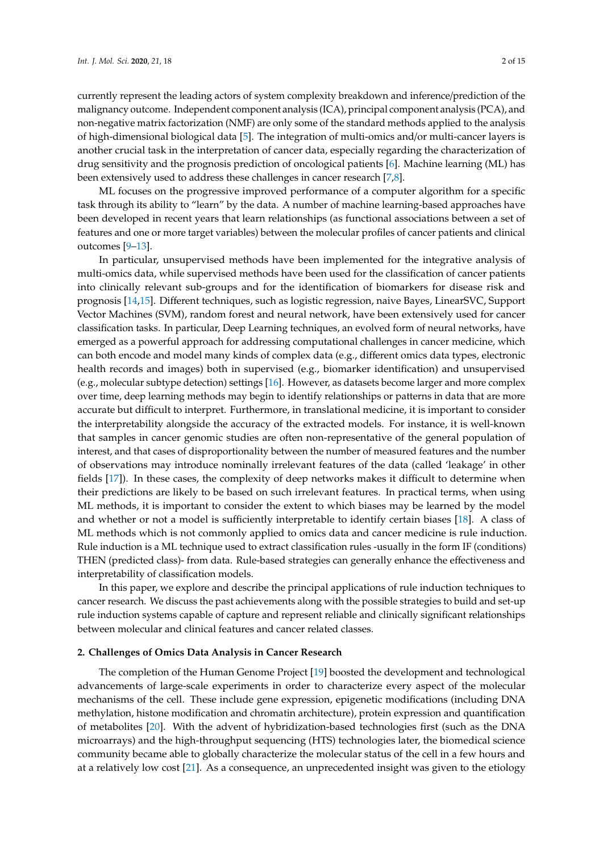currently represent the leading actors of system complexity breakdown and inference/prediction of the malignancy outcome. Independent component analysis (ICA), principal component analysis (PCA), and non-negative matrix factorization (NMF) are only some of the standard methods applied to the analysis of high-dimensional biological data [\[5\]](#page-10-4). The integration of multi-omics and/or multi-cancer layers is another crucial task in the interpretation of cancer data, especially regarding the characterization of drug sensitivity and the prognosis prediction of oncological patients [\[6\]](#page-10-5). Machine learning (ML) has been extensively used to address these challenges in cancer research [\[7,](#page-11-0)[8\]](#page-11-1).

ML focuses on the progressive improved performance of a computer algorithm for a specific task through its ability to "learn" by the data. A number of machine learning-based approaches have been developed in recent years that learn relationships (as functional associations between a set of features and one or more target variables) between the molecular profiles of cancer patients and clinical outcomes [\[9–](#page-11-2)[13\]](#page-11-3).

In particular, unsupervised methods have been implemented for the integrative analysis of multi-omics data, while supervised methods have been used for the classification of cancer patients into clinically relevant sub-groups and for the identification of biomarkers for disease risk and prognosis [\[14,](#page-11-4)[15\]](#page-11-5). Different techniques, such as logistic regression, naive Bayes, LinearSVC, Support Vector Machines (SVM), random forest and neural network, have been extensively used for cancer classification tasks. In particular, Deep Learning techniques, an evolved form of neural networks, have emerged as a powerful approach for addressing computational challenges in cancer medicine, which can both encode and model many kinds of complex data (e.g., different omics data types, electronic health records and images) both in supervised (e.g., biomarker identification) and unsupervised (e.g., molecular subtype detection) settings [\[16\]](#page-11-6). However, as datasets become larger and more complex over time, deep learning methods may begin to identify relationships or patterns in data that are more accurate but difficult to interpret. Furthermore, in translational medicine, it is important to consider the interpretability alongside the accuracy of the extracted models. For instance, it is well-known that samples in cancer genomic studies are often non-representative of the general population of interest, and that cases of disproportionality between the number of measured features and the number of observations may introduce nominally irrelevant features of the data (called 'leakage' in other fields [\[17\]](#page-11-7)). In these cases, the complexity of deep networks makes it difficult to determine when their predictions are likely to be based on such irrelevant features. In practical terms, when using ML methods, it is important to consider the extent to which biases may be learned by the model and whether or not a model is sufficiently interpretable to identify certain biases [\[18\]](#page-11-8). A class of ML methods which is not commonly applied to omics data and cancer medicine is rule induction. Rule induction is a ML technique used to extract classification rules -usually in the form IF (conditions) THEN (predicted class)- from data. Rule-based strategies can generally enhance the effectiveness and interpretability of classification models.

In this paper, we explore and describe the principal applications of rule induction techniques to cancer research. We discuss the past achievements along with the possible strategies to build and set-up rule induction systems capable of capture and represent reliable and clinically significant relationships between molecular and clinical features and cancer related classes.

#### **2. Challenges of Omics Data Analysis in Cancer Research**

The completion of the Human Genome Project [\[19\]](#page-11-9) boosted the development and technological advancements of large-scale experiments in order to characterize every aspect of the molecular mechanisms of the cell. These include gene expression, epigenetic modifications (including DNA methylation, histone modification and chromatin architecture), protein expression and quantification of metabolites [\[20\]](#page-11-10). With the advent of hybridization-based technologies first (such as the DNA microarrays) and the high-throughput sequencing (HTS) technologies later, the biomedical science community became able to globally characterize the molecular status of the cell in a few hours and at a relatively low cost [\[21\]](#page-11-11). As a consequence, an unprecedented insight was given to the etiology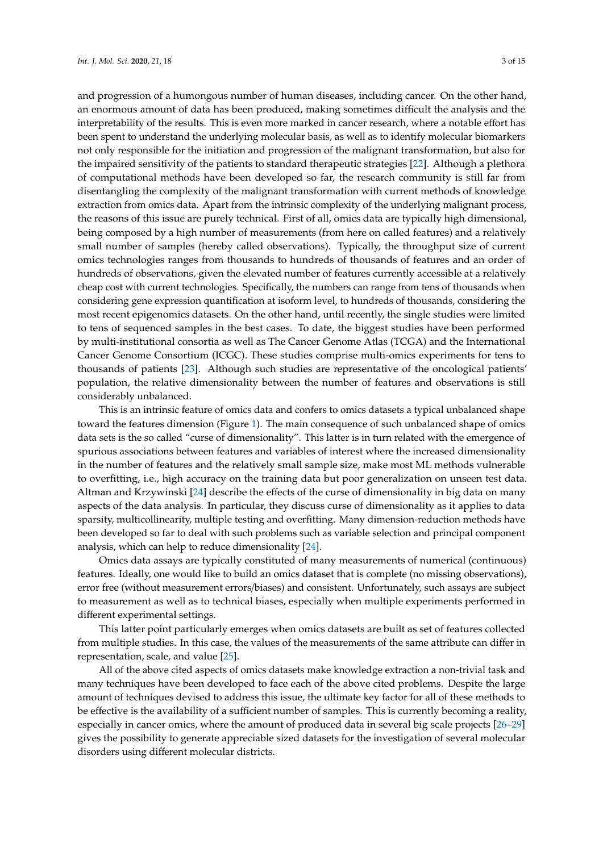and progression of a humongous number of human diseases, including cancer. On the other hand, an enormous amount of data has been produced, making sometimes difficult the analysis and the interpretability of the results. This is even more marked in cancer research, where a notable effort has been spent to understand the underlying molecular basis, as well as to identify molecular biomarkers not only responsible for the initiation and progression of the malignant transformation, but also for the impaired sensitivity of the patients to standard therapeutic strategies [\[22\]](#page-11-12). Although a plethora of computational methods have been developed so far, the research community is still far from disentangling the complexity of the malignant transformation with current methods of knowledge extraction from omics data. Apart from the intrinsic complexity of the underlying malignant process, the reasons of this issue are purely technical. First of all, omics data are typically high dimensional, being composed by a high number of measurements (from here on called features) and a relatively small number of samples (hereby called observations). Typically, the throughput size of current omics technologies ranges from thousands to hundreds of thousands of features and an order of hundreds of observations, given the elevated number of features currently accessible at a relatively cheap cost with current technologies. Specifically, the numbers can range from tens of thousands when considering gene expression quantification at isoform level, to hundreds of thousands, considering the most recent epigenomics datasets. On the other hand, until recently, the single studies were limited to tens of sequenced samples in the best cases. To date, the biggest studies have been performed by multi-institutional consortia as well as The Cancer Genome Atlas (TCGA) and the International Cancer Genome Consortium (ICGC). These studies comprise multi-omics experiments for tens to thousands of patients [\[23\]](#page-11-13). Although such studies are representative of the oncological patients' population, the relative dimensionality between the number of features and observations is still considerably unbalanced.

This is an intrinsic feature of omics data and confers to omics datasets a typical unbalanced shape toward the features dimension (Figure [1\)](#page-3-0). The main consequence of such unbalanced shape of omics data sets is the so called "curse of dimensionality". This latter is in turn related with the emergence of spurious associations between features and variables of interest where the increased dimensionality in the number of features and the relatively small sample size, make most ML methods vulnerable to overfitting, i.e., high accuracy on the training data but poor generalization on unseen test data. Altman and Krzywinski [\[24\]](#page-11-14) describe the effects of the curse of dimensionality in big data on many aspects of the data analysis. In particular, they discuss curse of dimensionality as it applies to data sparsity, multicollinearity, multiple testing and overfitting. Many dimension-reduction methods have been developed so far to deal with such problems such as variable selection and principal component analysis, which can help to reduce dimensionality [\[24\]](#page-11-14).

Omics data assays are typically constituted of many measurements of numerical (continuous) features. Ideally, one would like to build an omics dataset that is complete (no missing observations), error free (without measurement errors/biases) and consistent. Unfortunately, such assays are subject to measurement as well as to technical biases, especially when multiple experiments performed in different experimental settings.

This latter point particularly emerges when omics datasets are built as set of features collected from multiple studies. In this case, the values of the measurements of the same attribute can differ in representation, scale, and value [\[25\]](#page-11-15).

All of the above cited aspects of omics datasets make knowledge extraction a non-trivial task and many techniques have been developed to face each of the above cited problems. Despite the large amount of techniques devised to address this issue, the ultimate key factor for all of these methods to be effective is the availability of a sufficient number of samples. This is currently becoming a reality, especially in cancer omics, where the amount of produced data in several big scale projects [\[26](#page-11-16)[–29\]](#page-12-0) gives the possibility to generate appreciable sized datasets for the investigation of several molecular disorders using different molecular districts.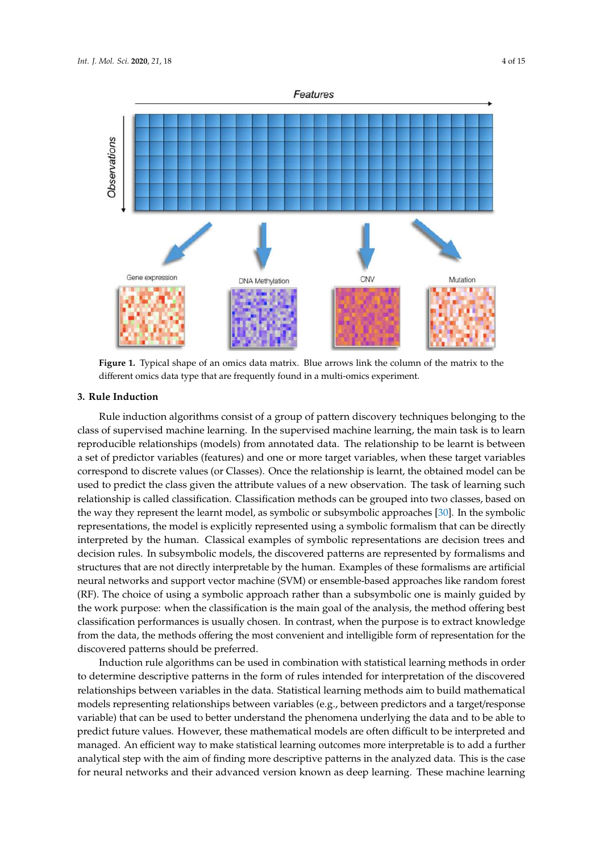<span id="page-3-0"></span>

**Figure 1. Figure 1. Typical shape of an omics data matrix to the matrix to the matrix to the matrix to the matrix to the matrix to the matrix to the matrix to the matrix to the matrix to the matrix to the matrix to th Figure 1.** Typical shape of an omics data matrix. Blue arrows link the column of the matrix to the different omics data type that are frequently found in a multi-omics experiment.

# different omics data type that are frequently found in a multi-omics experiment. **3. Rule Induction**

Rule induction algorithms consist of a group of pattern discovery techniques belonging to the class of supervised machine learning. In the supervised machine learning, the main task is to learn reproducible relationships (models) from annotated data. The relationship to be learnt is between relationships (models) from annotated data. The relationship to be learnt is between a set of predictor variables (features) and one or more target variables, when these target variables correspond to discrete values (or Classes). Once the relationship is learnt, the obtained model can be used to predict the class given the attribute values of a new observation. The task of learning such values of  $\alpha$ relationship is called classification. Classification methods can be grouped into two classes, based on **3. Rule Induction**  representations, the model is explicitly represented using a symbolic formalism that can be directly decision rules. In subsymbolic models, the discovered patterns are represented by formalisms and structures that are not directly interpretable by the human. Examples of these formalisms are artificial neural networks and support vector machine (SVM) or ensemble-based approaches like random forest (RF). The choice of using a symbolic approach rather than a subsymbolic one is mainly guided by the work purpose: when the classification is the main goal of the analysis, the method offering best classification performances is usually chosen. In contrast, when the purpose is to extract knowledge from the data, the methods offering the most convenient and intelligible form of representation for the discovered patterns should be preferred. the way they represent the learnt model, as symbolic or subsymbolic approaches [\[30\]](#page-12-1). In the symbolic interpreted by the human. Classical examples of symbolic representations are decision trees and

Induction rule algorithms can be used in combination with statistical learning methods in order to determine descriptive patterns in the form of rules intended for interpretation of the discovered relationships between variables in the data. Statistical learning methods aim to build mathematical models representing relationships between variables (e.g., between predictors and a target/response variable) that can be used to better understand the phenomena underlying the data and to be able to predict future values. However, these mathematical models are often difficult to be interpreted and .<br>managed. An efficient way to make statistical learning outcomes more interpretable is to add a further analytical step with the aim of finding more descriptive patterns in the analyzed data. This is the case for neural networks and their advanced version known as deep learning. These machine learning

representation for the discovered patterns should be preferred.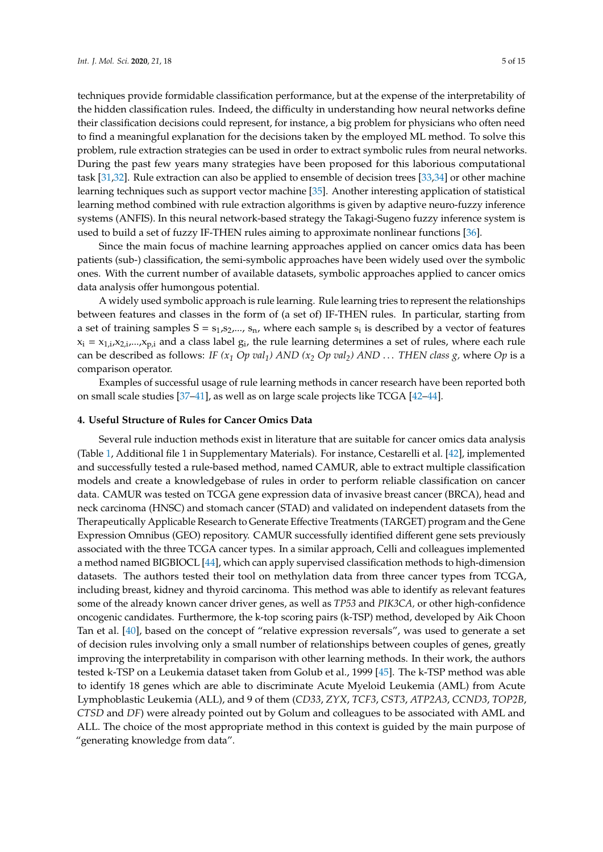techniques provide formidable classification performance, but at the expense of the interpretability of the hidden classification rules. Indeed, the difficulty in understanding how neural networks define their classification decisions could represent, for instance, a big problem for physicians who often need to find a meaningful explanation for the decisions taken by the employed ML method. To solve this problem, rule extraction strategies can be used in order to extract symbolic rules from neural networks. During the past few years many strategies have been proposed for this laborious computational task [\[31,](#page-12-2)[32\]](#page-12-3). Rule extraction can also be applied to ensemble of decision trees [\[33](#page-12-4)[,34\]](#page-12-5) or other machine learning techniques such as support vector machine [\[35\]](#page-12-6). Another interesting application of statistical learning method combined with rule extraction algorithms is given by adaptive neuro-fuzzy inference systems (ANFIS). In this neural network-based strategy the Takagi-Sugeno fuzzy inference system is used to build a set of fuzzy IF-THEN rules aiming to approximate nonlinear functions [\[36\]](#page-12-7).

Since the main focus of machine learning approaches applied on cancer omics data has been patients (sub-) classification, the semi-symbolic approaches have been widely used over the symbolic ones. With the current number of available datasets, symbolic approaches applied to cancer omics data analysis offer humongous potential.

A widely used symbolic approach is rule learning. Rule learning tries to represent the relationships between features and classes in the form of (a set of) IF-THEN rules. In particular, starting from a set of training samples  $S = s_1, s_2, ..., s_n$ , where each sample  $s_i$  is described by a vector of features  $x_i = x_{1,i}x_{2,i},...,x_{p,i}$  and a class label  $g_i$ , the rule learning determines a set of rules, where each rule can be described as follows: *IF*  $(x_1 \nOp val_1)$  *AND*  $(x_2 \nOp val_2)$  *AND* ... *THEN class g,* where *Op* is a comparison operator.

Examples of successful usage of rule learning methods in cancer research have been reported both on small scale studies [\[37–](#page-12-8)[41\]](#page-12-9), as well as on large scale projects like TCGA [\[42](#page-12-10)[–44\]](#page-12-11).

## **4. Useful Structure of Rules for Cancer Omics Data**

Several rule induction methods exist in literature that are suitable for cancer omics data analysis (Table [1,](#page-5-0) Additional file 1 in Supplementary Materials). For instance, Cestarelli et al. [\[42\]](#page-12-10), implemented and successfully tested a rule-based method, named CAMUR, able to extract multiple classification models and create a knowledgebase of rules in order to perform reliable classification on cancer data. CAMUR was tested on TCGA gene expression data of invasive breast cancer (BRCA), head and neck carcinoma (HNSC) and stomach cancer (STAD) and validated on independent datasets from the Therapeutically Applicable Research to Generate Effective Treatments (TARGET) program and the Gene Expression Omnibus (GEO) repository. CAMUR successfully identified different gene sets previously associated with the three TCGA cancer types. In a similar approach, Celli and colleagues implemented a method named BIGBIOCL [\[44\]](#page-12-11), which can apply supervised classification methods to high-dimension datasets. The authors tested their tool on methylation data from three cancer types from TCGA, including breast, kidney and thyroid carcinoma. This method was able to identify as relevant features some of the already known cancer driver genes, as well as *TP53* and *PIK3CA,* or other high-confidence oncogenic candidates. Furthermore, the k-top scoring pairs (k-TSP) method, developed by Aik Choon Tan et al. [\[40\]](#page-12-12), based on the concept of "relative expression reversals", was used to generate a set of decision rules involving only a small number of relationships between couples of genes, greatly improving the interpretability in comparison with other learning methods. In their work, the authors tested k-TSP on a Leukemia dataset taken from Golub et al., 1999 [\[45\]](#page-12-13). The k-TSP method was able to identify 18 genes which are able to discriminate Acute Myeloid Leukemia (AML) from Acute Lymphoblastic Leukemia (ALL), and 9 of them (*CD33*, *ZYX*, *TCF3*, *CST3*, *ATP2A3*, *CCND3*, *TOP2B*, *CTSD* and *DF*) were already pointed out by Golum and colleagues to be associated with AML and ALL. The choice of the most appropriate method in this context is guided by the main purpose of "generating knowledge from data".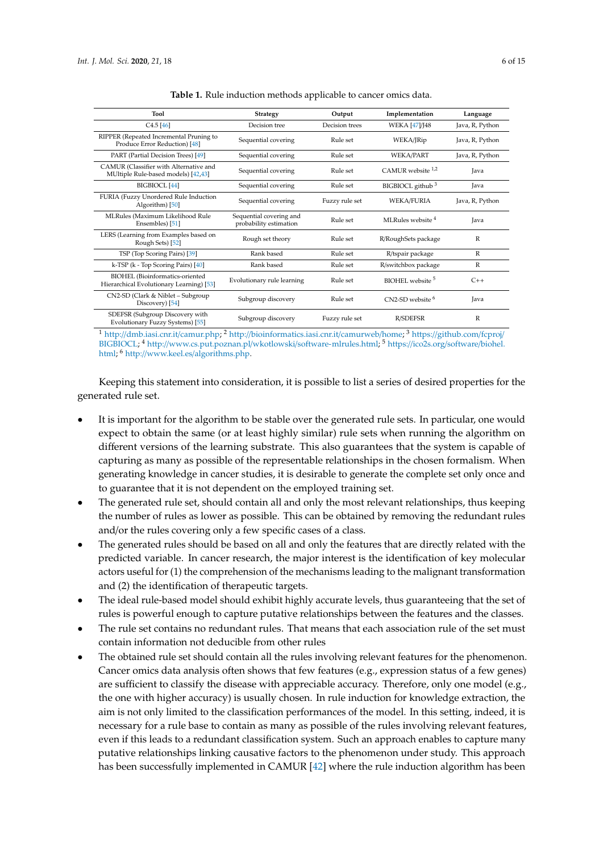<span id="page-5-0"></span>

| Tool                                                                          | <b>Strategy</b>                                   | Output         | Implementation               | Language        |
|-------------------------------------------------------------------------------|---------------------------------------------------|----------------|------------------------------|-----------------|
| $C4.5$ [46]                                                                   | Decision tree                                     | Decision trees | <b>WEKA</b> [47]/[48         | Java, R, Python |
| RIPPER (Repeated Incremental Pruning to<br>Produce Error Reduction) [48]      | Sequential covering                               | Rule set       | WEKA/JRip                    | Java, R, Python |
| PART (Partial Decision Trees) [49]                                            | Sequential covering                               | Rule set       | <b>WEKA/PART</b>             | Java, R, Python |
| CAMUR (Classifier with Alternative and<br>MUltiple Rule-based models) [42,43] | Sequential covering                               | Rule set       | CAMUR website $1,2$          | Java            |
| <b>BIGBIOCL</b> [44]                                                          | Sequential covering                               | Rule set       | BIGBIOCL github <sup>3</sup> | Java            |
| FURIA (Fuzzy Unordered Rule Induction<br>Algorithm) [50]                      | Sequential covering                               | Fuzzy rule set | <b>WEKA/FURIA</b>            | Java, R, Python |
| MLRules (Maximum Likelihood Rule<br>Ensembles) [51]                           | Sequential covering and<br>probability estimation | Rule set       | MLRules website 4            | Java            |
| LERS (Learning from Examples based on<br>Rough Sets) [52]                     | Rough set theory                                  | Rule set       | R/RoughSets package          | R               |
| TSP (Top Scoring Pairs) [39]                                                  | Rank based                                        | Rule set       | R/tspair package             | $\mathbb{R}$    |
| k-TSP (k - Top Scoring Pairs) [40]                                            | Rank based                                        | Rule set       | R/switchbox package          | $\mathbb{R}$    |
| BIOHEL (Bioinformatics-oriented<br>Hierarchical Evolutionary Learning) [53]   | Evolutionary rule learning                        | Rule set       | BIOHEL website <sup>5</sup>  | $C++$           |
| CN2-SD (Clark & Niblet – Subgroup<br>Discovery) [54]                          | Subgroup discovery                                | Rule set       | $CN2$ -SD website $6$        | Java            |
| SDEFSR (Subgroup Discovery with<br>Evolutionary Fuzzy Systems) [55]           | Subgroup discovery                                | Fuzzy rule set | <b>R/SDEFSR</b>              | R               |

**Table 1.** Rule induction methods applicable to cancer omics data.

<sup>1</sup> http://[dmb.iasi.cnr.it](http://dmb.iasi.cnr.it/camur.php)/camur.php; <sup>2</sup> http://[bioinformatics.iasi.cnr.it](http://bioinformatics.iasi.cnr.it/camurweb/home)/camurweb/home; <sup>3</sup> https://[github.com](https://github.com/fcproj/BIGBIOCL)/fcproj/ [BIGBIOCL;](https://github.com/fcproj/BIGBIOCL) <sup>4</sup> http://www.cs.put.poznan.pl/wkotlowski/[software-mlrules.html;](http://www.cs.put.poznan.pl/wkotlowski/software-mlrules.html) <sup>5</sup> https://[ico2s.org](https://ico2s.org/software/biohel.html)/software/biohel. [html;](https://ico2s.org/software/biohel.html) <sup>6</sup> http://www.keel.es/[algorithms.php.](http://www.keel.es/algorithms.php)

Keeping this statement into consideration, it is possible to list a series of desired properties for the generated rule set.

- It is important for the algorithm to be stable over the generated rule sets. In particular, one would expect to obtain the same (or at least highly similar) rule sets when running the algorithm on different versions of the learning substrate. This also guarantees that the system is capable of capturing as many as possible of the representable relationships in the chosen formalism. When generating knowledge in cancer studies, it is desirable to generate the complete set only once and to guarantee that it is not dependent on the employed training set.
- The generated rule set, should contain all and only the most relevant relationships, thus keeping the number of rules as lower as possible. This can be obtained by removing the redundant rules and/or the rules covering only a few specific cases of a class.
- The generated rules should be based on all and only the features that are directly related with the predicted variable. In cancer research, the major interest is the identification of key molecular actors useful for (1) the comprehension of the mechanisms leading to the malignant transformation and (2) the identification of therapeutic targets.
- The ideal rule-based model should exhibit highly accurate levels, thus guaranteeing that the set of rules is powerful enough to capture putative relationships between the features and the classes.
- The rule set contains no redundant rules. That means that each association rule of the set must contain information not deducible from other rules
- The obtained rule set should contain all the rules involving relevant features for the phenomenon. Cancer omics data analysis often shows that few features (e.g., expression status of a few genes) are sufficient to classify the disease with appreciable accuracy. Therefore, only one model (e.g., the one with higher accuracy) is usually chosen. In rule induction for knowledge extraction, the aim is not only limited to the classification performances of the model. In this setting, indeed, it is necessary for a rule base to contain as many as possible of the rules involving relevant features, even if this leads to a redundant classification system. Such an approach enables to capture many putative relationships linking causative factors to the phenomenon under study. This approach has been successfully implemented in CAMUR [\[42\]](#page-12-10) where the rule induction algorithm has been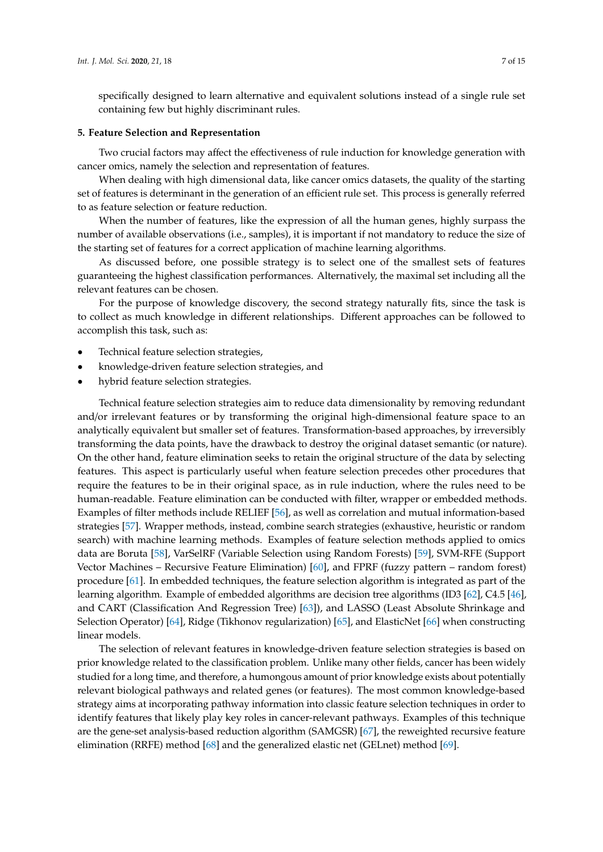specifically designed to learn alternative and equivalent solutions instead of a single rule set containing few but highly discriminant rules.

#### **5. Feature Selection and Representation**

Two crucial factors may affect the effectiveness of rule induction for knowledge generation with cancer omics, namely the selection and representation of features.

When dealing with high dimensional data, like cancer omics datasets, the quality of the starting set of features is determinant in the generation of an efficient rule set. This process is generally referred to as feature selection or feature reduction.

When the number of features, like the expression of all the human genes, highly surpass the number of available observations (i.e., samples), it is important if not mandatory to reduce the size of the starting set of features for a correct application of machine learning algorithms.

As discussed before, one possible strategy is to select one of the smallest sets of features guaranteeing the highest classification performances. Alternatively, the maximal set including all the relevant features can be chosen.

For the purpose of knowledge discovery, the second strategy naturally fits, since the task is to collect as much knowledge in different relationships. Different approaches can be followed to accomplish this task, such as:

- Technical feature selection strategies,
- knowledge-driven feature selection strategies, and
- hybrid feature selection strategies.

Technical feature selection strategies aim to reduce data dimensionality by removing redundant and/or irrelevant features or by transforming the original high-dimensional feature space to an analytically equivalent but smaller set of features. Transformation-based approaches, by irreversibly transforming the data points, have the drawback to destroy the original dataset semantic (or nature). On the other hand, feature elimination seeks to retain the original structure of the data by selecting features. This aspect is particularly useful when feature selection precedes other procedures that require the features to be in their original space, as in rule induction, where the rules need to be human-readable. Feature elimination can be conducted with filter, wrapper or embedded methods. Examples of filter methods include RELIEF [\[56\]](#page-13-4), as well as correlation and mutual information-based strategies [\[57\]](#page-13-5). Wrapper methods, instead, combine search strategies (exhaustive, heuristic or random search) with machine learning methods. Examples of feature selection methods applied to omics data are Boruta [\[58\]](#page-13-6), VarSelRF (Variable Selection using Random Forests) [\[59\]](#page-13-7), SVM-RFE (Support Vector Machines – Recursive Feature Elimination) [\[60\]](#page-13-8), and FPRF (fuzzy pattern – random forest) procedure [\[61\]](#page-13-9). In embedded techniques, the feature selection algorithm is integrated as part of the learning algorithm. Example of embedded algorithms are decision tree algorithms (ID3 [\[62\]](#page-13-10), C4.5 [\[46\]](#page-12-14), and CART (Classification And Regression Tree) [\[63\]](#page-13-11)), and LASSO (Least Absolute Shrinkage and Selection Operator) [\[64\]](#page-13-12), Ridge (Tikhonov regularization) [\[65\]](#page-13-13), and ElasticNet [\[66\]](#page-13-14) when constructing linear models.

The selection of relevant features in knowledge-driven feature selection strategies is based on prior knowledge related to the classification problem. Unlike many other fields, cancer has been widely studied for a long time, and therefore, a humongous amount of prior knowledge exists about potentially relevant biological pathways and related genes (or features). The most common knowledge-based strategy aims at incorporating pathway information into classic feature selection techniques in order to identify features that likely play key roles in cancer-relevant pathways. Examples of this technique are the gene-set analysis-based reduction algorithm (SAMGSR) [\[67\]](#page-13-15), the reweighted recursive feature elimination (RRFE) method [\[68\]](#page-13-16) and the generalized elastic net (GELnet) method [\[69\]](#page-13-17).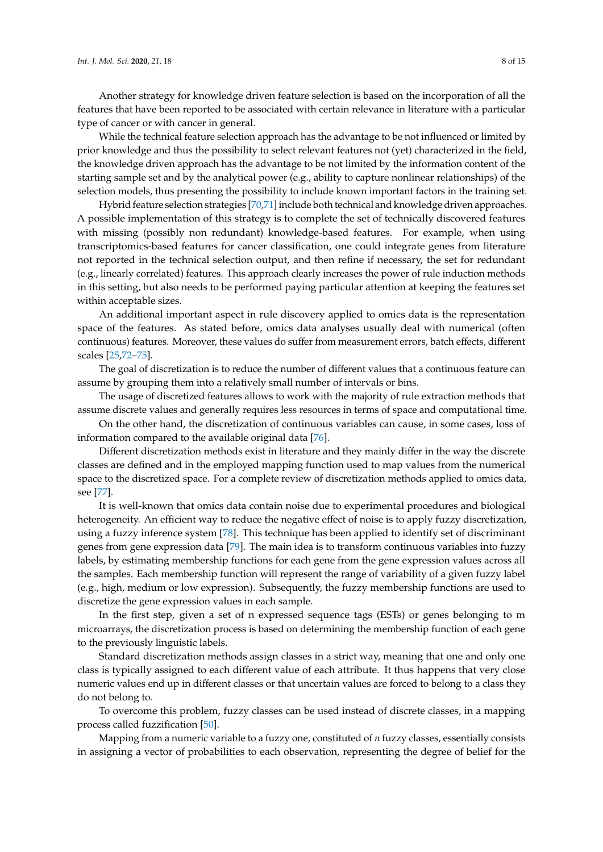Another strategy for knowledge driven feature selection is based on the incorporation of all the features that have been reported to be associated with certain relevance in literature with a particular type of cancer or with cancer in general.

While the technical feature selection approach has the advantage to be not influenced or limited by prior knowledge and thus the possibility to select relevant features not (yet) characterized in the field, the knowledge driven approach has the advantage to be not limited by the information content of the starting sample set and by the analytical power (e.g., ability to capture nonlinear relationships) of the selection models, thus presenting the possibility to include known important factors in the training set.

Hybrid feature selection strategies [\[70,](#page-13-18)[71\]](#page-13-19) include both technical and knowledge driven approaches. A possible implementation of this strategy is to complete the set of technically discovered features with missing (possibly non redundant) knowledge-based features. For example, when using transcriptomics-based features for cancer classification, one could integrate genes from literature not reported in the technical selection output, and then refine if necessary, the set for redundant (e.g., linearly correlated) features. This approach clearly increases the power of rule induction methods in this setting, but also needs to be performed paying particular attention at keeping the features set within acceptable sizes.

An additional important aspect in rule discovery applied to omics data is the representation space of the features. As stated before, omics data analyses usually deal with numerical (often continuous) features. Moreover, these values do suffer from measurement errors, batch effects, different scales [\[25](#page-11-15)[,72](#page-13-20)[–75\]](#page-13-21).

The goal of discretization is to reduce the number of different values that a continuous feature can assume by grouping them into a relatively small number of intervals or bins.

The usage of discretized features allows to work with the majority of rule extraction methods that assume discrete values and generally requires less resources in terms of space and computational time.

On the other hand, the discretization of continuous variables can cause, in some cases, loss of information compared to the available original data [\[76\]](#page-13-22).

Different discretization methods exist in literature and they mainly differ in the way the discrete classes are defined and in the employed mapping function used to map values from the numerical space to the discretized space. For a complete review of discretization methods applied to omics data, see [\[77\]](#page-14-0).

It is well-known that omics data contain noise due to experimental procedures and biological heterogeneity. An efficient way to reduce the negative effect of noise is to apply fuzzy discretization, using a fuzzy inference system [\[78\]](#page-14-1). This technique has been applied to identify set of discriminant genes from gene expression data [\[79\]](#page-14-2). The main idea is to transform continuous variables into fuzzy labels, by estimating membership functions for each gene from the gene expression values across all the samples. Each membership function will represent the range of variability of a given fuzzy label (e.g., high, medium or low expression). Subsequently, the fuzzy membership functions are used to discretize the gene expression values in each sample.

In the first step, given a set of n expressed sequence tags (ESTs) or genes belonging to m microarrays, the discretization process is based on determining the membership function of each gene to the previously linguistic labels.

Standard discretization methods assign classes in a strict way, meaning that one and only one class is typically assigned to each different value of each attribute. It thus happens that very close numeric values end up in different classes or that uncertain values are forced to belong to a class they do not belong to.

To overcome this problem, fuzzy classes can be used instead of discrete classes, in a mapping process called fuzzification [\[50\]](#page-12-19).

Mapping from a numeric variable to a fuzzy one, constituted of *n* fuzzy classes, essentially consists in assigning a vector of probabilities to each observation, representing the degree of belief for the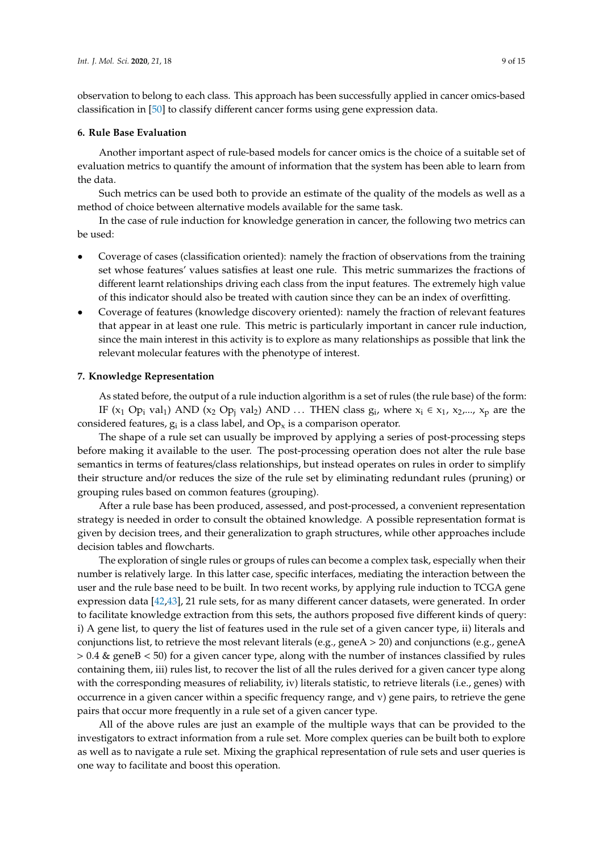observation to belong to each class. This approach has been successfully applied in cancer omics-based classification in [\[50\]](#page-12-19) to classify different cancer forms using gene expression data.

## **6. Rule Base Evaluation**

Another important aspect of rule-based models for cancer omics is the choice of a suitable set of evaluation metrics to quantify the amount of information that the system has been able to learn from the data.

Such metrics can be used both to provide an estimate of the quality of the models as well as a method of choice between alternative models available for the same task.

In the case of rule induction for knowledge generation in cancer, the following two metrics can be used:

- Coverage of cases (classification oriented): namely the fraction of observations from the training set whose features' values satisfies at least one rule. This metric summarizes the fractions of different learnt relationships driving each class from the input features. The extremely high value of this indicator should also be treated with caution since they can be an index of overfitting.
- Coverage of features (knowledge discovery oriented): namely the fraction of relevant features that appear in at least one rule. This metric is particularly important in cancer rule induction, since the main interest in this activity is to explore as many relationships as possible that link the relevant molecular features with the phenotype of interest.

#### **7. Knowledge Representation**

As stated before, the output of a rule induction algorithm is a set of rules (the rule base) of the form: IF  $(x_1 \text{ Op}_i \text{ val}_1)$  AND  $(x_2 \text{ Op}_j \text{ val}_2)$  AND ... THEN class  $g_i$ , where  $x_i \in x_1$ ,  $x_2,..., x_p$  are the considered features,  $\mathrm{g_{i}}$  is a class label, and Op $_{\mathrm{x}}$  is a comparison operator.

The shape of a rule set can usually be improved by applying a series of post-processing steps before making it available to the user. The post-processing operation does not alter the rule base semantics in terms of features/class relationships, but instead operates on rules in order to simplify their structure and/or reduces the size of the rule set by eliminating redundant rules (pruning) or grouping rules based on common features (grouping).

After a rule base has been produced, assessed, and post-processed, a convenient representation strategy is needed in order to consult the obtained knowledge. A possible representation format is given by decision trees, and their generalization to graph structures, while other approaches include decision tables and flowcharts.

The exploration of single rules or groups of rules can become a complex task, especially when their number is relatively large. In this latter case, specific interfaces, mediating the interaction between the user and the rule base need to be built. In two recent works, by applying rule induction to TCGA gene expression data [\[42,](#page-12-10)[43\]](#page-12-18), 21 rule sets, for as many different cancer datasets, were generated. In order to facilitate knowledge extraction from this sets, the authors proposed five different kinds of query: i) A gene list, to query the list of features used in the rule set of a given cancer type, ii) literals and conjunctions list, to retrieve the most relevant literals (e.g., geneA > 20) and conjunctions (e.g., geneA  $> 0.4$  & geneB  $< 50$ ) for a given cancer type, along with the number of instances classified by rules containing them, iii) rules list, to recover the list of all the rules derived for a given cancer type along with the corresponding measures of reliability, iv) literals statistic, to retrieve literals (i.e., genes) with occurrence in a given cancer within a specific frequency range, and v) gene pairs, to retrieve the gene pairs that occur more frequently in a rule set of a given cancer type.

All of the above rules are just an example of the multiple ways that can be provided to the investigators to extract information from a rule set. More complex queries can be built both to explore as well as to navigate a rule set. Mixing the graphical representation of rule sets and user queries is one way to facilitate and boost this operation.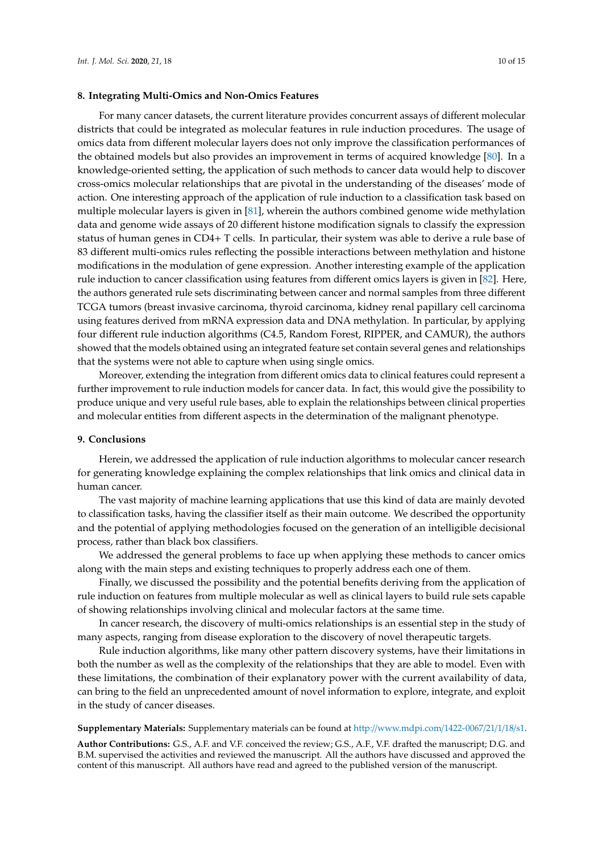## **8. Integrating Multi-Omics and Non-Omics Features**

For many cancer datasets, the current literature provides concurrent assays of different molecular districts that could be integrated as molecular features in rule induction procedures. The usage of omics data from different molecular layers does not only improve the classification performances of the obtained models but also provides an improvement in terms of acquired knowledge [\[80\]](#page-14-3). In a knowledge-oriented setting, the application of such methods to cancer data would help to discover cross-omics molecular relationships that are pivotal in the understanding of the diseases' mode of action. One interesting approach of the application of rule induction to a classification task based on multiple molecular layers is given in [\[81\]](#page-14-4), wherein the authors combined genome wide methylation data and genome wide assays of 20 different histone modification signals to classify the expression status of human genes in CD4+ T cells. In particular, their system was able to derive a rule base of 83 different multi-omics rules reflecting the possible interactions between methylation and histone modifications in the modulation of gene expression. Another interesting example of the application rule induction to cancer classification using features from different omics layers is given in [\[82\]](#page-14-5). Here, the authors generated rule sets discriminating between cancer and normal samples from three different TCGA tumors (breast invasive carcinoma, thyroid carcinoma, kidney renal papillary cell carcinoma using features derived from mRNA expression data and DNA methylation. In particular, by applying four different rule induction algorithms (C4.5, Random Forest, RIPPER, and CAMUR), the authors showed that the models obtained using an integrated feature set contain several genes and relationships that the systems were not able to capture when using single omics.

Moreover, extending the integration from different omics data to clinical features could represent a further improvement to rule induction models for cancer data. In fact, this would give the possibility to produce unique and very useful rule bases, able to explain the relationships between clinical properties and molecular entities from different aspects in the determination of the malignant phenotype.

## **9. Conclusions**

Herein, we addressed the application of rule induction algorithms to molecular cancer research for generating knowledge explaining the complex relationships that link omics and clinical data in human cancer.

The vast majority of machine learning applications that use this kind of data are mainly devoted to classification tasks, having the classifier itself as their main outcome. We described the opportunity and the potential of applying methodologies focused on the generation of an intelligible decisional process, rather than black box classifiers.

We addressed the general problems to face up when applying these methods to cancer omics along with the main steps and existing techniques to properly address each one of them.

Finally, we discussed the possibility and the potential benefits deriving from the application of rule induction on features from multiple molecular as well as clinical layers to build rule sets capable of showing relationships involving clinical and molecular factors at the same time.

In cancer research, the discovery of multi-omics relationships is an essential step in the study of many aspects, ranging from disease exploration to the discovery of novel therapeutic targets.

Rule induction algorithms, like many other pattern discovery systems, have their limitations in both the number as well as the complexity of the relationships that they are able to model. Even with these limitations, the combination of their explanatory power with the current availability of data, can bring to the field an unprecedented amount of novel information to explore, integrate, and exploit in the study of cancer diseases.

#### **Supplementary Materials:** Supplementary materials can be found at http://[www.mdpi.com](http://www.mdpi.com/1422-0067/21/1/18/s1)/1422-0067/21/1/18/s1.

**Author Contributions:** G.S., A.F. and V.F. conceived the review; G.S., A.F., V.F. drafted the manuscript; D.G. and B.M. supervised the activities and reviewed the manuscript. All the authors have discussed and approved the content of this manuscript. All authors have read and agreed to the published version of the manuscript.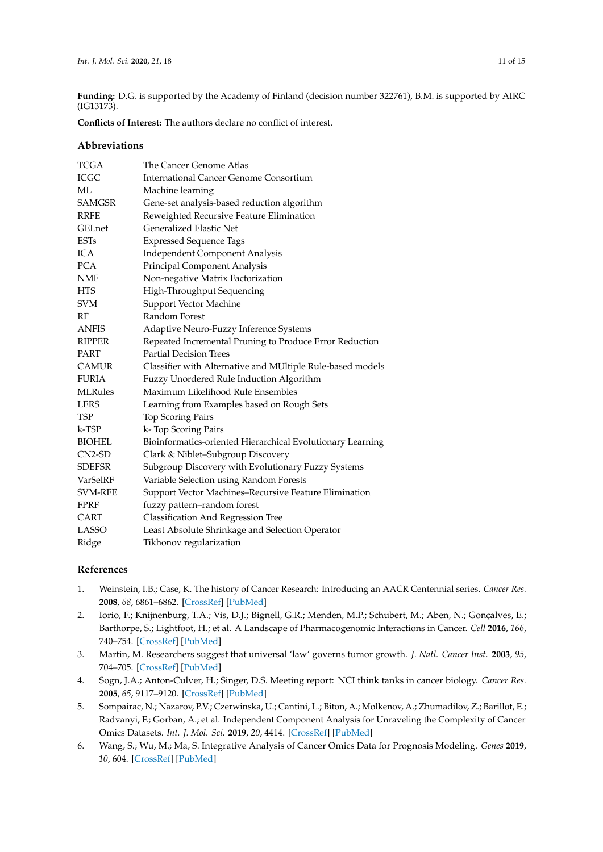**Funding:** D.G. is supported by the Academy of Finland (decision number 322761), B.M. is supported by AIRC (IG13173).

**Conflicts of Interest:** The authors declare no conflict of interest.

# **Abbreviations**

| TCGA           | The Cancer Genome Atlas                                    |
|----------------|------------------------------------------------------------|
| <b>ICGC</b>    | <b>International Cancer Genome Consortium</b>              |
| ML             | Machine learning                                           |
| <b>SAMGSR</b>  | Gene-set analysis-based reduction algorithm                |
| <b>RRFE</b>    | Reweighted Recursive Feature Elimination                   |
| GELnet         | Generalized Elastic Net                                    |
| <b>ESTs</b>    | <b>Expressed Sequence Tags</b>                             |
| ICA            | <b>Independent Component Analysis</b>                      |
| <b>PCA</b>     | Principal Component Analysis                               |
| NMF            | Non-negative Matrix Factorization                          |
| HTS            | High-Throughput Sequencing                                 |
| <b>SVM</b>     | <b>Support Vector Machine</b>                              |
| RF             | Random Forest                                              |
| <b>ANFIS</b>   | Adaptive Neuro-Fuzzy Inference Systems                     |
| <b>RIPPER</b>  | Repeated Incremental Pruning to Produce Error Reduction    |
| PART           | <b>Partial Decision Trees</b>                              |
| <b>CAMUR</b>   | Classifier with Alternative and MUltiple Rule-based models |
| <b>FURIA</b>   | Fuzzy Unordered Rule Induction Algorithm                   |
| <b>MLRules</b> | Maximum Likelihood Rule Ensembles                          |
| LERS           | Learning from Examples based on Rough Sets                 |
| TSP            | <b>Top Scoring Pairs</b>                                   |
| $k-TSP$        | k-Top Scoring Pairs                                        |
| <b>BIOHEL</b>  | Bioinformatics-oriented Hierarchical Evolutionary Learning |
| $CN2-SD$       | Clark & Niblet-Subgroup Discovery                          |
| <b>SDEFSR</b>  | Subgroup Discovery with Evolutionary Fuzzy Systems         |
| VarSelRF       | Variable Selection using Random Forests                    |
| <b>SVM-RFE</b> | Support Vector Machines-Recursive Feature Elimination      |
| FPRF           | fuzzy pattern-random forest                                |
| CART           | <b>Classification And Regression Tree</b>                  |
| <b>LASSO</b>   | Least Absolute Shrinkage and Selection Operator            |
| Ridge          | Tikhonov regularization                                    |

# **References**

- <span id="page-10-0"></span>1. Weinstein, I.B.; Case, K. The history of Cancer Research: Introducing an AACR Centennial series. *Cancer Res.* **2008**, *68*, 6861–6862. [\[CrossRef\]](http://dx.doi.org/10.1158/0008-5472.CAN-08-2827) [\[PubMed\]](http://www.ncbi.nlm.nih.gov/pubmed/18757396)
- <span id="page-10-1"></span>2. Iorio, F.; Knijnenburg, T.A.; Vis, D.J.; Bignell, G.R.; Menden, M.P.; Schubert, M.; Aben, N.; Gonçalves, E.; Barthorpe, S.; Lightfoot, H.; et al. A Landscape of Pharmacogenomic Interactions in Cancer. *Cell* **2016**, *166*, 740–754. [\[CrossRef\]](http://dx.doi.org/10.1016/j.cell.2016.06.017) [\[PubMed\]](http://www.ncbi.nlm.nih.gov/pubmed/27397505)
- <span id="page-10-2"></span>3. Martin, M. Researchers suggest that universal 'law' governs tumor growth. *J. Natl. Cancer Inst.* **2003**, *95*, 704–705. [\[CrossRef\]](http://dx.doi.org/10.1093/jnci/95.10.704) [\[PubMed\]](http://www.ncbi.nlm.nih.gov/pubmed/12759383)
- <span id="page-10-3"></span>4. Sogn, J.A.; Anton-Culver, H.; Singer, D.S. Meeting report: NCI think tanks in cancer biology. *Cancer Res.* **2005**, *65*, 9117–9120. [\[CrossRef\]](http://dx.doi.org/10.1158/0008-5472.CAN-05-1817) [\[PubMed\]](http://www.ncbi.nlm.nih.gov/pubmed/16230364)
- <span id="page-10-4"></span>5. Sompairac, N.; Nazarov, P.V.; Czerwinska, U.; Cantini, L.; Biton, A.; Molkenov, A.; Zhumadilov, Z.; Barillot, E.; Radvanyi, F.; Gorban, A.; et al. Independent Component Analysis for Unraveling the Complexity of Cancer Omics Datasets. *Int. J. Mol. Sci.* **2019**, *20*, 4414. [\[CrossRef\]](http://dx.doi.org/10.3390/ijms20184414) [\[PubMed\]](http://www.ncbi.nlm.nih.gov/pubmed/31500324)
- <span id="page-10-5"></span>6. Wang, S.; Wu, M.; Ma, S. Integrative Analysis of Cancer Omics Data for Prognosis Modeling. *Genes* **2019**, *10*, 604. [\[CrossRef\]](http://dx.doi.org/10.3390/genes10080604) [\[PubMed\]](http://www.ncbi.nlm.nih.gov/pubmed/31405076)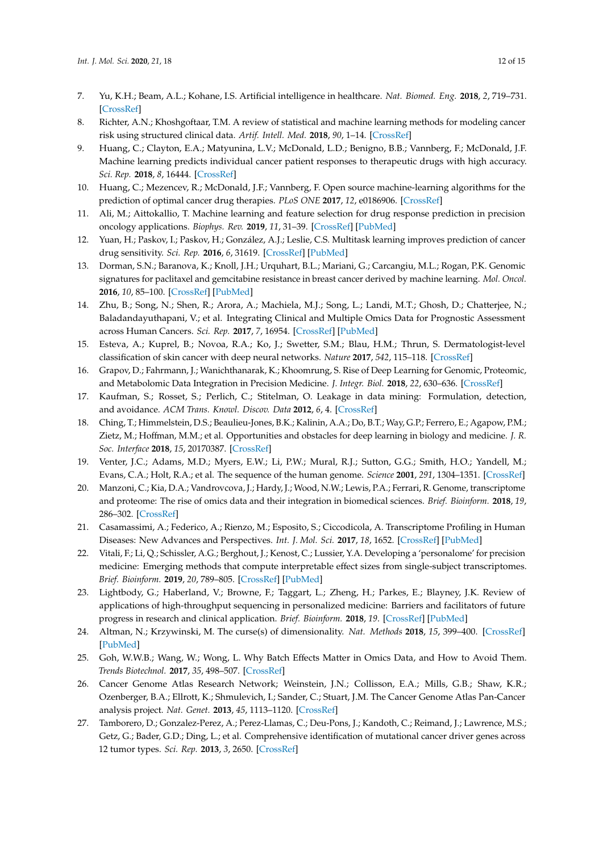- <span id="page-11-0"></span>7. Yu, K.H.; Beam, A.L.; Kohane, I.S. Artificial intelligence in healthcare. *Nat. Biomed. Eng.* **2018**, *2*, 719–731. [\[CrossRef\]](http://dx.doi.org/10.1038/s41551-018-0305-z)
- <span id="page-11-1"></span>8. Richter, A.N.; Khoshgoftaar, T.M. A review of statistical and machine learning methods for modeling cancer risk using structured clinical data. *Artif. Intell. Med.* **2018**, *90*, 1–14. [\[CrossRef\]](http://dx.doi.org/10.1016/j.artmed.2018.06.002)
- <span id="page-11-2"></span>9. Huang, C.; Clayton, E.A.; Matyunina, L.V.; McDonald, L.D.; Benigno, B.B.; Vannberg, F.; McDonald, J.F. Machine learning predicts individual cancer patient responses to therapeutic drugs with high accuracy. *Sci. Rep.* **2018**, *8*, 16444. [\[CrossRef\]](http://dx.doi.org/10.1038/s41598-018-34753-5)
- 10. Huang, C.; Mezencev, R.; McDonald, J.F.; Vannberg, F. Open source machine-learning algorithms for the prediction of optimal cancer drug therapies. *PLoS ONE* **2017**, *12*, e0186906. [\[CrossRef\]](http://dx.doi.org/10.1371/journal.pone.0186906)
- 11. Ali, M.; Aittokallio, T. Machine learning and feature selection for drug response prediction in precision oncology applications. *Biophys. Rev.* **2019**, *11*, 31–39. [\[CrossRef\]](http://dx.doi.org/10.1007/s12551-018-0446-z) [\[PubMed\]](http://www.ncbi.nlm.nih.gov/pubmed/30097794)
- 12. Yuan, H.; Paskov, I.; Paskov, H.; González, A.J.; Leslie, C.S. Multitask learning improves prediction of cancer drug sensitivity. *Sci. Rep.* **2016**, *6*, 31619. [\[CrossRef\]](http://dx.doi.org/10.1038/srep31619) [\[PubMed\]](http://www.ncbi.nlm.nih.gov/pubmed/27550087)
- <span id="page-11-3"></span>13. Dorman, S.N.; Baranova, K.; Knoll, J.H.; Urquhart, B.L.; Mariani, G.; Carcangiu, M.L.; Rogan, P.K. Genomic signatures for paclitaxel and gemcitabine resistance in breast cancer derived by machine learning. *Mol. Oncol.* **2016**, *10*, 85–100. [\[CrossRef\]](http://dx.doi.org/10.1016/j.molonc.2015.07.006) [\[PubMed\]](http://www.ncbi.nlm.nih.gov/pubmed/26372358)
- <span id="page-11-4"></span>14. Zhu, B.; Song, N.; Shen, R.; Arora, A.; Machiela, M.J.; Song, L.; Landi, M.T.; Ghosh, D.; Chatterjee, N.; Baladandayuthapani, V.; et al. Integrating Clinical and Multiple Omics Data for Prognostic Assessment across Human Cancers. *Sci. Rep.* **2017**, *7*, 16954. [\[CrossRef\]](http://dx.doi.org/10.1038/s41598-017-17031-8) [\[PubMed\]](http://www.ncbi.nlm.nih.gov/pubmed/29209073)
- <span id="page-11-5"></span>15. Esteva, A.; Kuprel, B.; Novoa, R.A.; Ko, J.; Swetter, S.M.; Blau, H.M.; Thrun, S. Dermatologist-level classification of skin cancer with deep neural networks. *Nature* **2017**, *542*, 115–118. [\[CrossRef\]](http://dx.doi.org/10.1038/nature21056)
- <span id="page-11-6"></span>16. Grapov, D.; Fahrmann, J.; Wanichthanarak, K.; Khoomrung, S. Rise of Deep Learning for Genomic, Proteomic, and Metabolomic Data Integration in Precision Medicine. *J. Integr. Biol.* **2018**, *22*, 630–636. [\[CrossRef\]](http://dx.doi.org/10.1089/omi.2018.0097)
- <span id="page-11-7"></span>17. Kaufman, S.; Rosset, S.; Perlich, C.; Stitelman, O. Leakage in data mining: Formulation, detection, and avoidance. *ACM Trans. Knowl. Discov. Data* **2012**, *6*, 4. [\[CrossRef\]](http://dx.doi.org/10.1145/2382577.2382579)
- <span id="page-11-8"></span>18. Ching, T.; Himmelstein, D.S.; Beaulieu-Jones, B.K.; Kalinin, A.A.; Do, B.T.; Way, G.P.; Ferrero, E.; Agapow, P.M.; Zietz, M.; Hoffman, M.M.; et al. Opportunities and obstacles for deep learning in biology and medicine. *J. R. Soc. Interface* **2018**, *15*, 20170387. [\[CrossRef\]](http://dx.doi.org/10.1098/rsif.2017.0387)
- <span id="page-11-9"></span>19. Venter, J.C.; Adams, M.D.; Myers, E.W.; Li, P.W.; Mural, R.J.; Sutton, G.G.; Smith, H.O.; Yandell, M.; Evans, C.A.; Holt, R.A.; et al. The sequence of the human genome. *Science* **2001**, *291*, 1304–1351. [\[CrossRef\]](http://dx.doi.org/10.1126/science.1058040)
- <span id="page-11-10"></span>20. Manzoni, C.; Kia, D.A.; Vandrovcova, J.; Hardy, J.; Wood, N.W.; Lewis, P.A.; Ferrari, R. Genome, transcriptome and proteome: The rise of omics data and their integration in biomedical sciences. *Brief. Bioinform.* **2018**, *19*, 286–302. [\[CrossRef\]](http://dx.doi.org/10.1093/bib/bbw114)
- <span id="page-11-11"></span>21. Casamassimi, A.; Federico, A.; Rienzo, M.; Esposito, S.; Ciccodicola, A. Transcriptome Profiling in Human Diseases: New Advances and Perspectives. *Int. J. Mol. Sci.* **2017**, *18*, 1652. [\[CrossRef\]](http://dx.doi.org/10.3390/ijms18081652) [\[PubMed\]](http://www.ncbi.nlm.nih.gov/pubmed/28758927)
- <span id="page-11-12"></span>22. Vitali, F.; Li, Q.; Schissler, A.G.; Berghout, J.; Kenost, C.; Lussier, Y.A. Developing a 'personalome' for precision medicine: Emerging methods that compute interpretable effect sizes from single-subject transcriptomes. *Brief. Bioinform.* **2019**, *20*, 789–805. [\[CrossRef\]](http://dx.doi.org/10.1093/bib/bbx149) [\[PubMed\]](http://www.ncbi.nlm.nih.gov/pubmed/29272327)
- <span id="page-11-13"></span>23. Lightbody, G.; Haberland, V.; Browne, F.; Taggart, L.; Zheng, H.; Parkes, E.; Blayney, J.K. Review of applications of high-throughput sequencing in personalized medicine: Barriers and facilitators of future progress in research and clinical application. *Brief. Bioinform.* **2018**, *19*. [\[CrossRef\]](http://dx.doi.org/10.1093/bib/bby051) [\[PubMed\]](http://www.ncbi.nlm.nih.gov/pubmed/30084865)
- <span id="page-11-14"></span>24. Altman, N.; Krzywinski, M. The curse(s) of dimensionality. *Nat. Methods* **2018**, *15*, 399–400. [\[CrossRef\]](http://dx.doi.org/10.1038/s41592-018-0019-x) [\[PubMed\]](http://www.ncbi.nlm.nih.gov/pubmed/29855577)
- <span id="page-11-15"></span>25. Goh, W.W.B.; Wang, W.; Wong, L. Why Batch Effects Matter in Omics Data, and How to Avoid Them. *Trends Biotechnol.* **2017**, *35*, 498–507. [\[CrossRef\]](http://dx.doi.org/10.1016/j.tibtech.2017.02.012)
- <span id="page-11-16"></span>26. Cancer Genome Atlas Research Network; Weinstein, J.N.; Collisson, E.A.; Mills, G.B.; Shaw, K.R.; Ozenberger, B.A.; Ellrott, K.; Shmulevich, I.; Sander, C.; Stuart, J.M. The Cancer Genome Atlas Pan-Cancer analysis project. *Nat. Genet.* **2013**, *45*, 1113–1120. [\[CrossRef\]](http://dx.doi.org/10.1038/ng.2764)
- 27. Tamborero, D.; Gonzalez-Perez, A.; Perez-Llamas, C.; Deu-Pons, J.; Kandoth, C.; Reimand, J.; Lawrence, M.S.; Getz, G.; Bader, G.D.; Ding, L.; et al. Comprehensive identification of mutational cancer driver genes across 12 tumor types. *Sci. Rep.* **2013**, *3*, 2650. [\[CrossRef\]](http://dx.doi.org/10.1038/srep02650)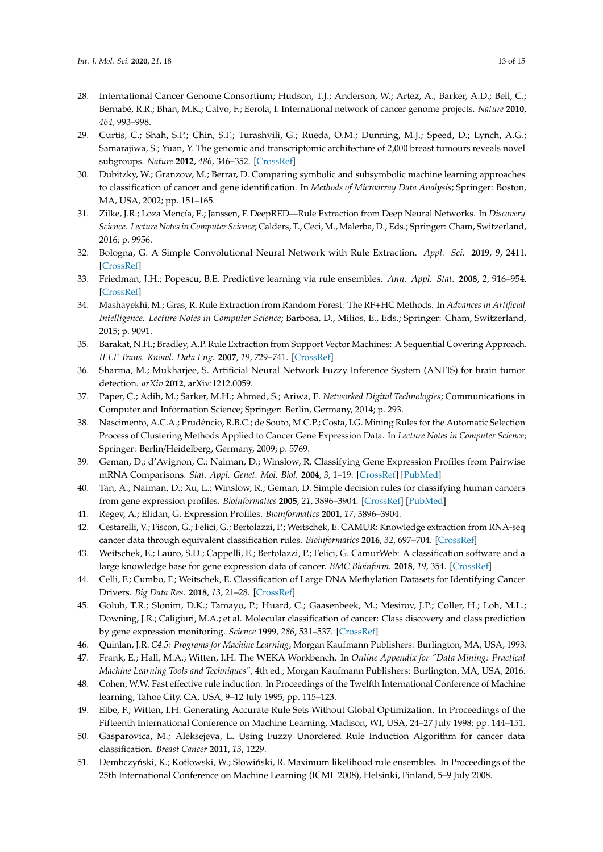- 28. International Cancer Genome Consortium; Hudson, T.J.; Anderson, W.; Artez, A.; Barker, A.D.; Bell, C.; Bernabé, R.R.; Bhan, M.K.; Calvo, F.; Eerola, I. International network of cancer genome projects. *Nature* **2010**, *464*, 993–998.
- <span id="page-12-0"></span>29. Curtis, C.; Shah, S.P.; Chin, S.F.; Turashvili, G.; Rueda, O.M.; Dunning, M.J.; Speed, D.; Lynch, A.G.; Samarajiwa, S.; Yuan, Y. The genomic and transcriptomic architecture of 2,000 breast tumours reveals novel subgroups. *Nature* **2012**, *486*, 346–352. [\[CrossRef\]](http://dx.doi.org/10.1038/nature10983)
- <span id="page-12-1"></span>30. Dubitzky, W.; Granzow, M.; Berrar, D. Comparing symbolic and subsymbolic machine learning approaches to classification of cancer and gene identification. In *Methods of Microarray Data Analysis*; Springer: Boston, MA, USA, 2002; pp. 151–165.
- <span id="page-12-2"></span>31. Zilke, J.R.; Loza Mencía, E.; Janssen, F. DeepRED—Rule Extraction from Deep Neural Networks. In *Discovery Science. Lecture Notes in Computer Science*; Calders, T., Ceci, M., Malerba, D., Eds.; Springer: Cham, Switzerland, 2016; p. 9956.
- <span id="page-12-3"></span>32. Bologna, G. A Simple Convolutional Neural Network with Rule Extraction. *Appl. Sci.* **2019**, *9*, 2411. [\[CrossRef\]](http://dx.doi.org/10.3390/app9122411)
- <span id="page-12-4"></span>33. Friedman, J.H.; Popescu, B.E. Predictive learning via rule ensembles. *Ann. Appl. Stat.* **2008**, *2*, 916–954. [\[CrossRef\]](http://dx.doi.org/10.1214/07-AOAS148)
- <span id="page-12-5"></span>34. Mashayekhi, M.; Gras, R. Rule Extraction from Random Forest: The RF+HC Methods. In *Advances in Artificial Intelligence. Lecture Notes in Computer Science*; Barbosa, D., Milios, E., Eds.; Springer: Cham, Switzerland, 2015; p. 9091.
- <span id="page-12-6"></span>35. Barakat, N.H.; Bradley, A.P. Rule Extraction from Support Vector Machines: A Sequential Covering Approach. *IEEE Trans. Knowl. Data Eng.* **2007**, *19*, 729–741. [\[CrossRef\]](http://dx.doi.org/10.1109/TKDE.2007.190610)
- <span id="page-12-7"></span>36. Sharma, M.; Mukharjee, S. Artificial Neural Network Fuzzy Inference System (ANFIS) for brain tumor detection. *arXiv* **2012**, arXiv:1212.0059.
- <span id="page-12-8"></span>37. Paper, C.; Adib, M.; Sarker, M.H.; Ahmed, S.; Ariwa, E. *Networked Digital Technologies*; Communications in Computer and Information Science; Springer: Berlin, Germany, 2014; p. 293.
- 38. Nascimento, A.C.A.; Prudêncio, R.B.C.; de Souto, M.C.P.; Costa, I.G. Mining Rules for the Automatic Selection Process of Clustering Methods Applied to Cancer Gene Expression Data. In *Lecture Notes in Computer Science*; Springer: Berlin/Heidelberg, Germany, 2009; p. 5769.
- <span id="page-12-21"></span>39. Geman, D.; d'Avignon, C.; Naiman, D.; Winslow, R. Classifying Gene Expression Profiles from Pairwise mRNA Comparisons. *Stat. Appl. Genet. Mol. Biol.* **2004**, *3*, 1–19. [\[CrossRef\]](http://dx.doi.org/10.2202/1544-6115.1071) [\[PubMed\]](http://www.ncbi.nlm.nih.gov/pubmed/16646797)
- <span id="page-12-12"></span>40. Tan, A.; Naiman, D.; Xu, L.; Winslow, R.; Geman, D. Simple decision rules for classifying human cancers from gene expression profiles. *Bioinformatics* **2005**, *21*, 3896–3904. [\[CrossRef\]](http://dx.doi.org/10.1093/bioinformatics/bti631) [\[PubMed\]](http://www.ncbi.nlm.nih.gov/pubmed/16105897)
- <span id="page-12-9"></span>41. Regev, A.; Elidan, G. Expression Profiles. *Bioinformatics* **2001**, *17*, 3896–3904.
- <span id="page-12-10"></span>42. Cestarelli, V.; Fiscon, G.; Felici, G.; Bertolazzi, P.; Weitschek, E. CAMUR: Knowledge extraction from RNA-seq cancer data through equivalent classification rules. *Bioinformatics* **2016**, *32*, 697–704. [\[CrossRef\]](http://dx.doi.org/10.1093/bioinformatics/btv635)
- <span id="page-12-18"></span>43. Weitschek, E.; Lauro, S.D.; Cappelli, E.; Bertolazzi, P.; Felici, G. CamurWeb: A classification software and a large knowledge base for gene expression data of cancer. *BMC Bioinform.* **2018**, *19*, 354. [\[CrossRef\]](http://dx.doi.org/10.1186/s12859-018-2299-7)
- <span id="page-12-11"></span>44. Celli, F.; Cumbo, F.; Weitschek, E. Classification of Large DNA Methylation Datasets for Identifying Cancer Drivers. *Big Data Res.* **2018**, *13*, 21–28. [\[CrossRef\]](http://dx.doi.org/10.1016/j.bdr.2018.02.005)
- <span id="page-12-13"></span>45. Golub, T.R.; Slonim, D.K.; Tamayo, P.; Huard, C.; Gaasenbeek, M.; Mesirov, J.P.; Coller, H.; Loh, M.L.; Downing, J.R.; Caligiuri, M.A.; et al. Molecular classification of cancer: Class discovery and class prediction by gene expression monitoring. *Science* **1999**, *286*, 531–537. [\[CrossRef\]](http://dx.doi.org/10.1126/science.286.5439.531)
- <span id="page-12-14"></span>46. Quinlan, J.R. *C4.5: Programs for Machine Learning*; Morgan Kaufmann Publishers: Burlington, MA, USA, 1993.
- <span id="page-12-15"></span>47. Frank, E.; Hall, M.A.; Witten, I.H. The WEKA Workbench. In *Online Appendix for "Data Mining: Practical Machine Learning Tools and Techniques"*, 4th ed.; Morgan Kaufmann Publishers: Burlington, MA, USA, 2016.
- <span id="page-12-16"></span>48. Cohen, W.W. Fast effective rule induction. In Proceedings of the Twelfth International Conference of Machine learning, Tahoe City, CA, USA, 9–12 July 1995; pp. 115–123.
- <span id="page-12-17"></span>49. Eibe, F.; Witten, I.H. Generating Accurate Rule Sets Without Global Optimization. In Proceedings of the Fifteenth International Conference on Machine Learning, Madison, WI, USA, 24–27 July 1998; pp. 144–151.
- <span id="page-12-19"></span>50. Gasparovica, M.; Aleksejeva, L. Using Fuzzy Unordered Rule Induction Algorithm for cancer data classification. *Breast Cancer* **2011**, *13*, 1229.
- <span id="page-12-20"></span>51. Dembczyński, K.; Kotłowski, W.; Słowiński, R. Maximum likelihood rule ensembles. In Proceedings of the 25th International Conference on Machine Learning (ICML 2008), Helsinki, Finland, 5–9 July 2008.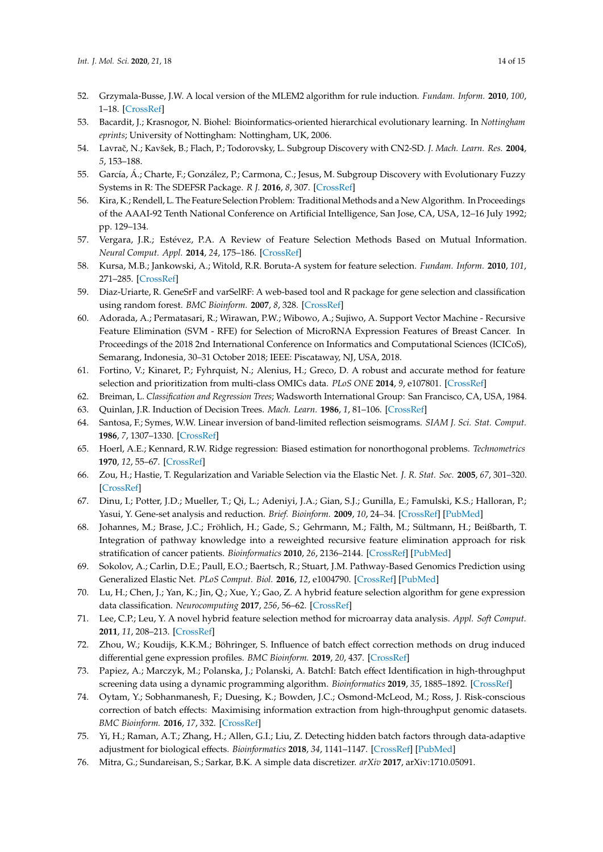- <span id="page-13-0"></span>52. Grzymala-Busse, J.W. A local version of the MLEM2 algorithm for rule induction. *Fundam. Inform.* **2010**, *100*, 1–18. [\[CrossRef\]](http://dx.doi.org/10.3233/FI-2010-265)
- <span id="page-13-1"></span>53. Bacardit, J.; Krasnogor, N. Biohel: Bioinformatics-oriented hierarchical evolutionary learning. In *Nottingham eprints*; University of Nottingham: Nottingham, UK, 2006.
- <span id="page-13-2"></span>54. Lavraˇc, N.; Kavšek, B.; Flach, P.; Todorovsky, L. Subgroup Discovery with CN2-SD. *J. Mach. Learn. Res.* **2004**, *5*, 153–188.
- <span id="page-13-3"></span>55. García, Á.; Charte, F.; González, P.; Carmona, C.; Jesus, M. Subgroup Discovery with Evolutionary Fuzzy Systems in R: The SDEFSR Package. *R J.* **2016**, *8*, 307. [\[CrossRef\]](http://dx.doi.org/10.32614/RJ-2016-048)
- <span id="page-13-4"></span>56. Kira, K.; Rendell, L. The Feature Selection Problem: Traditional Methods and a New Algorithm. In Proceedings of the AAAI-92 Tenth National Conference on Artificial Intelligence, San Jose, CA, USA, 12–16 July 1992; pp. 129–134.
- <span id="page-13-5"></span>57. Vergara, J.R.; Estévez, P.A. A Review of Feature Selection Methods Based on Mutual Information. *Neural Comput. Appl.* **2014**, *24*, 175–186. [\[CrossRef\]](http://dx.doi.org/10.1007/s00521-013-1368-0)
- <span id="page-13-6"></span>58. Kursa, M.B.; Jankowski, A.; Witold, R.R. Boruta-A system for feature selection. *Fundam. Inform.* **2010**, *101*, 271–285. [\[CrossRef\]](http://dx.doi.org/10.3233/FI-2010-288)
- <span id="page-13-7"></span>59. Diaz-Uriarte, R. GeneSrF and varSelRF: A web-based tool and R package for gene selection and classification using random forest. *BMC Bioinform.* **2007**, *8*, 328. [\[CrossRef\]](http://dx.doi.org/10.1186/1471-2105-8-328)
- <span id="page-13-8"></span>60. Adorada, A.; Permatasari, R.; Wirawan, P.W.; Wibowo, A.; Sujiwo, A. Support Vector Machine - Recursive Feature Elimination (SVM - RFE) for Selection of MicroRNA Expression Features of Breast Cancer. In Proceedings of the 2018 2nd International Conference on Informatics and Computational Sciences (ICICoS), Semarang, Indonesia, 30–31 October 2018; IEEE: Piscataway, NJ, USA, 2018.
- <span id="page-13-9"></span>61. Fortino, V.; Kinaret, P.; Fyhrquist, N.; Alenius, H.; Greco, D. A robust and accurate method for feature selection and prioritization from multi-class OMICs data. *PLoS ONE* **2014**, *9*, e107801. [\[CrossRef\]](http://dx.doi.org/10.1371/journal.pone.0107801)
- <span id="page-13-10"></span>62. Breiman, L. *Classification and Regression Trees*; Wadsworth International Group: San Francisco, CA, USA, 1984.
- <span id="page-13-11"></span>63. Quinlan, J.R. Induction of Decision Trees. *Mach. Learn.* **1986**, *1*, 81–106. [\[CrossRef\]](http://dx.doi.org/10.1007/BF00116251)
- <span id="page-13-12"></span>64. Santosa, F.; Symes, W.W. Linear inversion of band-limited reflection seismograms. *SIAM J. Sci. Stat. Comput.* **1986**, *7*, 1307–1330. [\[CrossRef\]](http://dx.doi.org/10.1137/0907087)
- <span id="page-13-13"></span>65. Hoerl, A.E.; Kennard, R.W. Ridge regression: Biased estimation for nonorthogonal problems. *Technometrics* **1970**, *12*, 55–67. [\[CrossRef\]](http://dx.doi.org/10.1080/00401706.1970.10488634)
- <span id="page-13-14"></span>66. Zou, H.; Hastie, T. Regularization and Variable Selection via the Elastic Net. *J. R. Stat. Soc.* **2005**, *67*, 301–320. [\[CrossRef\]](http://dx.doi.org/10.1111/j.1467-9868.2005.00503.x)
- <span id="page-13-15"></span>67. Dinu, I.; Potter, J.D.; Mueller, T.; Qi, L.; Adeniyi, J.A.; Gian, S.J.; Gunilla, E.; Famulski, K.S.; Halloran, P.; Yasui, Y. Gene-set analysis and reduction. *Brief. Bioinform.* **2009**, *10*, 24–34. [\[CrossRef\]](http://dx.doi.org/10.1093/bib/bbn042) [\[PubMed\]](http://www.ncbi.nlm.nih.gov/pubmed/18836208)
- <span id="page-13-16"></span>68. Johannes, M.; Brase, J.C.; Fröhlich, H.; Gade, S.; Gehrmann, M.; Fälth, M.; Sültmann, H.; Beißbarth, T. Integration of pathway knowledge into a reweighted recursive feature elimination approach for risk stratification of cancer patients. *Bioinformatics* **2010**, *26*, 2136–2144. [\[CrossRef\]](http://dx.doi.org/10.1093/bioinformatics/btq345) [\[PubMed\]](http://www.ncbi.nlm.nih.gov/pubmed/20591905)
- <span id="page-13-17"></span>69. Sokolov, A.; Carlin, D.E.; Paull, E.O.; Baertsch, R.; Stuart, J.M. Pathway-Based Genomics Prediction using Generalized Elastic Net. *PLoS Comput. Biol.* **2016**, *12*, e1004790. [\[CrossRef\]](http://dx.doi.org/10.1371/journal.pcbi.1004790) [\[PubMed\]](http://www.ncbi.nlm.nih.gov/pubmed/26960204)
- <span id="page-13-18"></span>70. Lu, H.; Chen, J.; Yan, K.; Jin, Q.; Xue, Y.; Gao, Z. A hybrid feature selection algorithm for gene expression data classification. *Neurocomputing* **2017**, *256*, 56–62. [\[CrossRef\]](http://dx.doi.org/10.1016/j.neucom.2016.07.080)
- <span id="page-13-19"></span>71. Lee, C.P.; Leu, Y. A novel hybrid feature selection method for microarray data analysis. *Appl. Soft Comput.* **2011**, *11*, 208–213. [\[CrossRef\]](http://dx.doi.org/10.1016/j.asoc.2009.11.010)
- <span id="page-13-20"></span>72. Zhou, W.; Koudijs, K.K.M.; Böhringer, S. Influence of batch effect correction methods on drug induced differential gene expression profiles. *BMC Bioinform.* **2019**, *20*, 437. [\[CrossRef\]](http://dx.doi.org/10.1186/s12859-019-3028-6)
- 73. Papiez, A.; Marczyk, M.; Polanska, J.; Polanski, A. BatchI: Batch effect Identification in high-throughput screening data using a dynamic programming algorithm. *Bioinformatics* **2019**, *35*, 1885–1892. [\[CrossRef\]](http://dx.doi.org/10.1093/bioinformatics/bty900)
- 74. Oytam, Y.; Sobhanmanesh, F.; Duesing, K.; Bowden, J.C.; Osmond-McLeod, M.; Ross, J. Risk-conscious correction of batch effects: Maximising information extraction from high-throughput genomic datasets. *BMC Bioinform.* **2016**, *17*, 332. [\[CrossRef\]](http://dx.doi.org/10.1186/s12859-016-1212-5)
- <span id="page-13-21"></span>75. Yi, H.; Raman, A.T.; Zhang, H.; Allen, G.I.; Liu, Z. Detecting hidden batch factors through data-adaptive adjustment for biological effects. *Bioinformatics* **2018**, *34*, 1141–1147. [\[CrossRef\]](http://dx.doi.org/10.1093/bioinformatics/btx635) [\[PubMed\]](http://www.ncbi.nlm.nih.gov/pubmed/29617963)
- <span id="page-13-22"></span>76. Mitra, G.; Sundareisan, S.; Sarkar, B.K. A simple data discretizer. *arXiv* **2017**, arXiv:1710.05091.